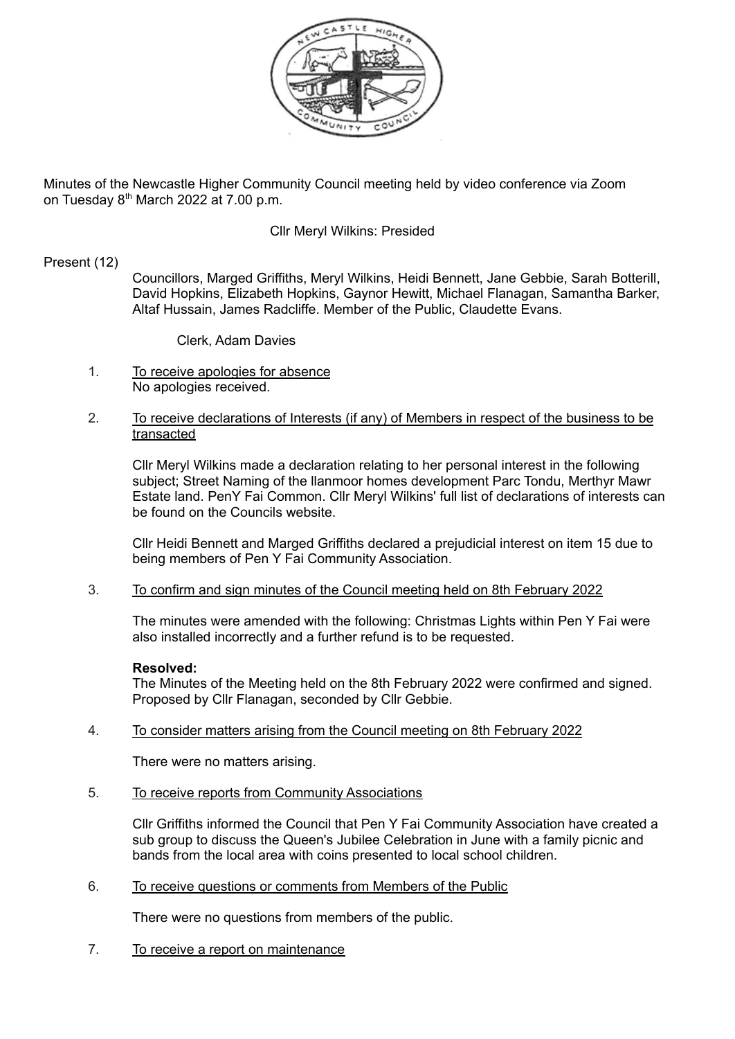

Minutes of the Newcastle Higher Community Council meeting held by video conference via Zoom on Tuesday 8<sup>th</sup> March 2022 at 7.00 p.m.

## Cllr Meryl Wilkins: Presided

## Present (12)

Councillors, Marged Griffiths, Meryl Wilkins, Heidi Bennett, Jane Gebbie, Sarah Botterill, David Hopkins, Elizabeth Hopkins, Gaynor Hewitt, Michael Flanagan, Samantha Barker, Altaf Hussain, James Radcliffe. Member of the Public, Claudette Evans.

Clerk, Adam Davies

1. To receive apologies for absence No apologies received.

### 2. To receive declarations of Interests (if any) of Members in respect of the business to be transacted

Cllr Meryl Wilkins made a declaration relating to her personal interest in the following subject; Street Naming of the llanmoor homes development Parc Tondu, Merthyr Mawr Estate land. PenY Fai Common. Cllr Meryl Wilkins' full list of declarations of interests can be found on the Councils website.

Cllr Heidi Bennett and Marged Griffiths declared a prejudicial interest on item 15 due to being members of Pen Y Fai Community Association.

# 3. To confirm and sign minutes of the Council meeting held on 8th February 2022

The minutes were amended with the following: Christmas Lights within Pen Y Fai were also installed incorrectly and a further refund is to be requested.

### **Resolved:**

The Minutes of the Meeting held on the 8th February 2022 were confirmed and signed. Proposed by Cllr Flanagan, seconded by Cllr Gebbie.

# 4. To consider matters arising from the Council meeting on 8th February 2022

There were no matters arising.

5. To receive reports from Community Associations

Cllr Griffiths informed the Council that Pen Y Fai Community Association have created a sub group to discuss the Queen's Jubilee Celebration in June with a family picnic and bands from the local area with coins presented to local school children.

6. To receive questions or comments from Members of the Public

There were no questions from members of the public.

7. To receive a report on maintenance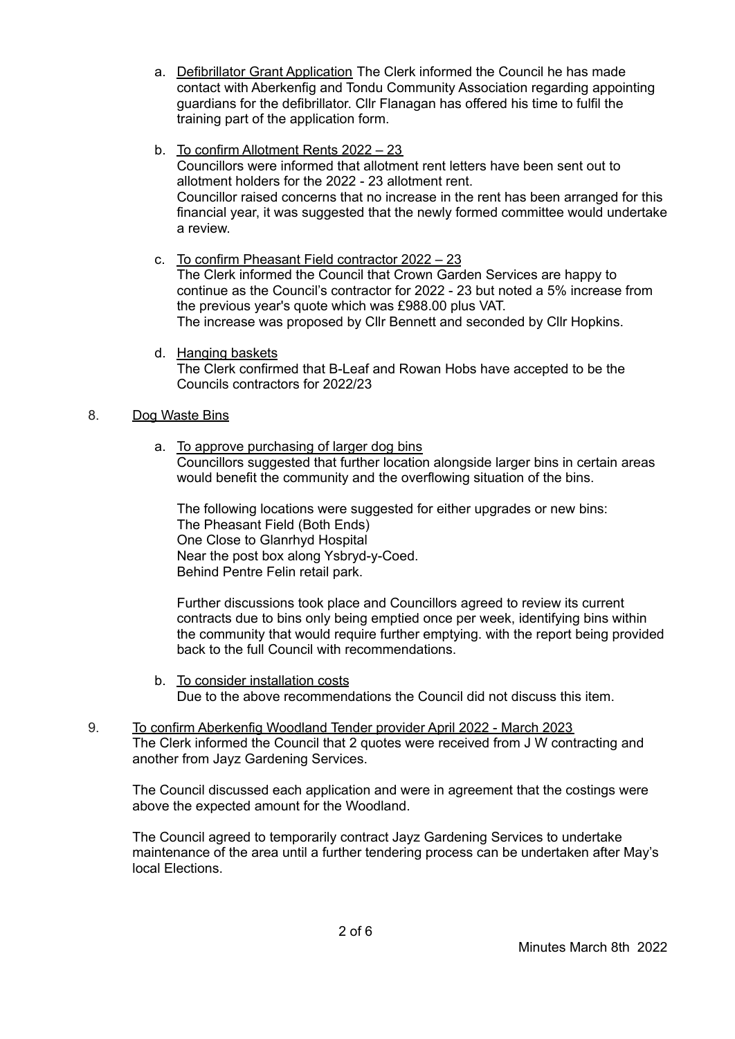- a. Defibrillator Grant Application The Clerk informed the Council he has made contact with Aberkenfig and Tondu Community Association regarding appointing guardians for the defibrillator. Cllr Flanagan has offered his time to fulfil the training part of the application form.
- b. To confirm Allotment Rents 2022 23 Councillors were informed that allotment rent letters have been sent out to allotment holders for the 2022 - 23 allotment rent. Councillor raised concerns that no increase in the rent has been arranged for this financial year, it was suggested that the newly formed committee would undertake a review.
- c. To confirm Pheasant Field contractor 2022 23 The Clerk informed the Council that Crown Garden Services are happy to continue as the Council's contractor for 2022 - 23 but noted a 5% increase from the previous year's quote which was £988.00 plus VAT. The increase was proposed by Cllr Bennett and seconded by Cllr Hopkins.
- d. Hanging baskets The Clerk confirmed that B-Leaf and Rowan Hobs have accepted to be the Councils contractors for 2022/23

# 8. Dog Waste Bins

a. To approve purchasing of larger dog bins Councillors suggested that further location alongside larger bins in certain areas would benefit the community and the overflowing situation of the bins.

The following locations were suggested for either upgrades or new bins: The Pheasant Field (Both Ends) One Close to Glanrhyd Hospital Near the post box along Ysbryd-y-Coed. Behind Pentre Felin retail park.

Further discussions took place and Councillors agreed to review its current contracts due to bins only being emptied once per week, identifying bins within the community that would require further emptying. with the report being provided back to the full Council with recommendations.

- b. To consider installation costs Due to the above recommendations the Council did not discuss this item.
- 9. To confirm Aberkenfig Woodland Tender provider April 2022 March 2023 The Clerk informed the Council that 2 quotes were received from J W contracting and another from Jayz Gardening Services.

The Council discussed each application and were in agreement that the costings were above the expected amount for the Woodland.

The Council agreed to temporarily contract Jayz Gardening Services to undertake maintenance of the area until a further tendering process can be undertaken after May's local Elections.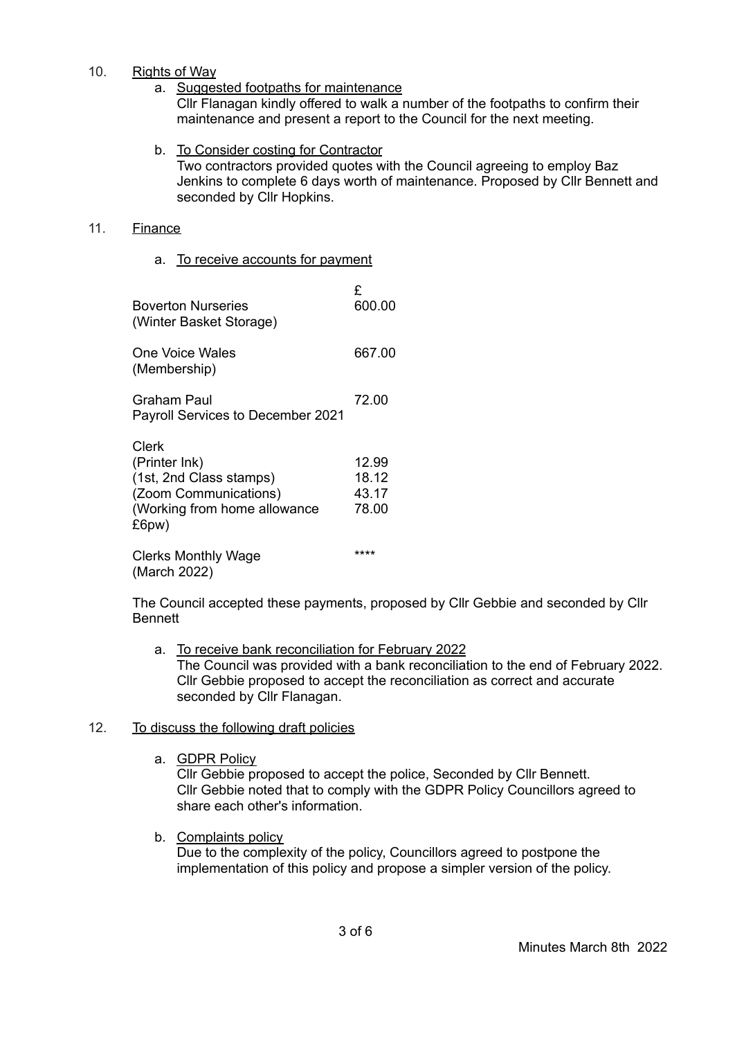### 10. Rights of Way

a. Suggested footpaths for maintenance

Cllr Flanagan kindly offered to walk a number of the footpaths to confirm their maintenance and present a report to the Council for the next meeting.

b. To Consider costing for Contractor Two contractors provided quotes with the Council agreeing to employ Baz Jenkins to complete 6 days worth of maintenance. Proposed by Cllr Bennett and seconded by Cllr Hopkins.

### 11. Finance

a. To receive accounts for payment

| <b>Boverton Nurseries</b><br>(Winter Basket Storage)                                                                | £<br>600.00                      |
|---------------------------------------------------------------------------------------------------------------------|----------------------------------|
| One Voice Wales<br>(Membership)                                                                                     | 667.00                           |
| Graham Paul<br><b>Payroll Services to December 2021</b>                                                             | 72.00                            |
| Clerk<br>(Printer Ink)<br>(1st, 2nd Class stamps)<br>(Zoom Communications)<br>(Working from home allowance<br>£6pw) | 12.99<br>18.12<br>43.17<br>78.00 |
| <b>Clerks Monthly Wage</b><br>(March 2022)                                                                          | ****                             |

The Council accepted these payments, proposed by Cllr Gebbie and seconded by Cllr **Bennett** 

a. To receive bank reconciliation for February 2022 The Council was provided with a bank reconciliation to the end of February 2022. Cllr Gebbie proposed to accept the reconciliation as correct and accurate seconded by Cllr Flanagan.

### 12. To discuss the following draft policies

a. GDPR Policy

Cllr Gebbie proposed to accept the police, Seconded by Cllr Bennett. Cllr Gebbie noted that to comply with the GDPR Policy Councillors agreed to share each other's information.

b. Complaints policy Due to the complexity of the policy, Councillors agreed to postpone the implementation of this policy and propose a simpler version of the policy.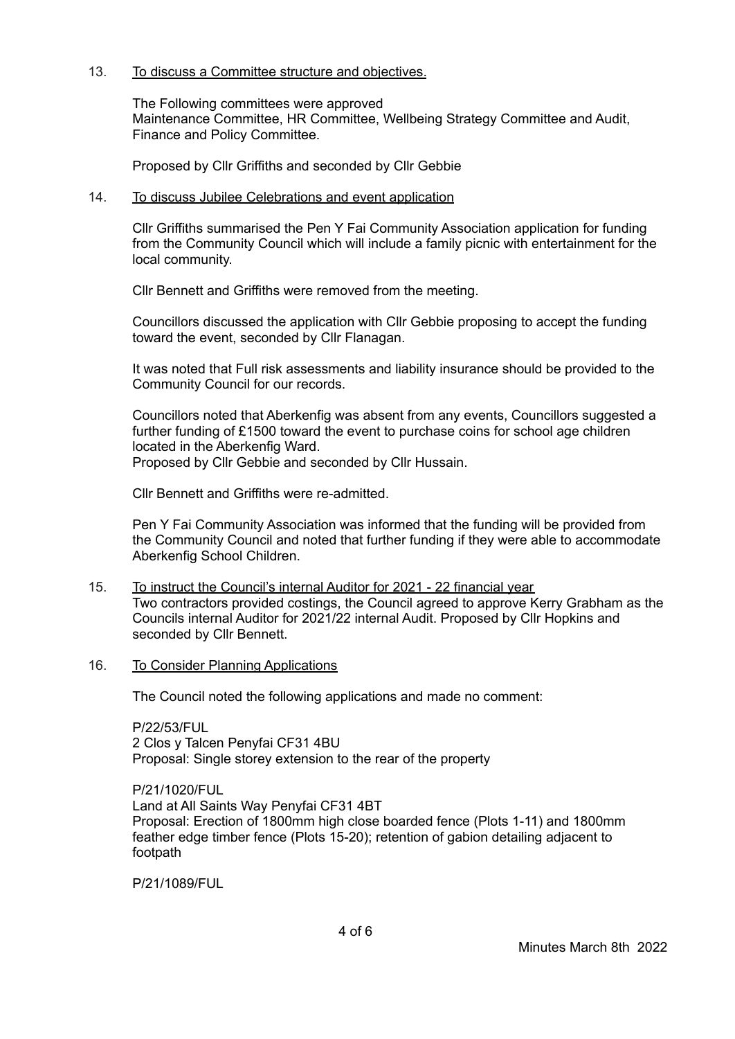# 13. To discuss a Committee structure and objectives.

The Following committees were approved Maintenance Committee, HR Committee, Wellbeing Strategy Committee and Audit, Finance and Policy Committee.

Proposed by Cllr Griffiths and seconded by Cllr Gebbie

## 14. To discuss Jubilee Celebrations and event application

Cllr Griffiths summarised the Pen Y Fai Community Association application for funding from the Community Council which will include a family picnic with entertainment for the local community.

Cllr Bennett and Griffiths were removed from the meeting.

Councillors discussed the application with Cllr Gebbie proposing to accept the funding toward the event, seconded by Cllr Flanagan.

It was noted that Full risk assessments and liability insurance should be provided to the Community Council for our records.

Councillors noted that Aberkenfig was absent from any events, Councillors suggested a further funding of £1500 toward the event to purchase coins for school age children located in the Aberkenfig Ward. Proposed by Cllr Gebbie and seconded by Cllr Hussain.

Cllr Bennett and Griffiths were re-admitted.

Pen Y Fai Community Association was informed that the funding will be provided from the Community Council and noted that further funding if they were able to accommodate Aberkenfig School Children.

- 15. To instruct the Council's internal Auditor for 2021 22 financial year Two contractors provided costings, the Council agreed to approve Kerry Grabham as the Councils internal Auditor for 2021/22 internal Audit. Proposed by Cllr Hopkins and seconded by Cllr Bennett.
- 16. To Consider Planning Applications

The Council noted the following applications and made no comment:

P/22/53/FUL 2 Clos y Talcen Penyfai CF31 4BU Proposal: Single storey extension to the rear of the property

P/21/1020/FUL Land at All Saints Way Penyfai CF31 4BT Proposal: Erection of 1800mm high close boarded fence (Plots 1-11) and 1800mm feather edge timber fence (Plots 15-20); retention of gabion detailing adjacent to footpath

P/21/1089/FUL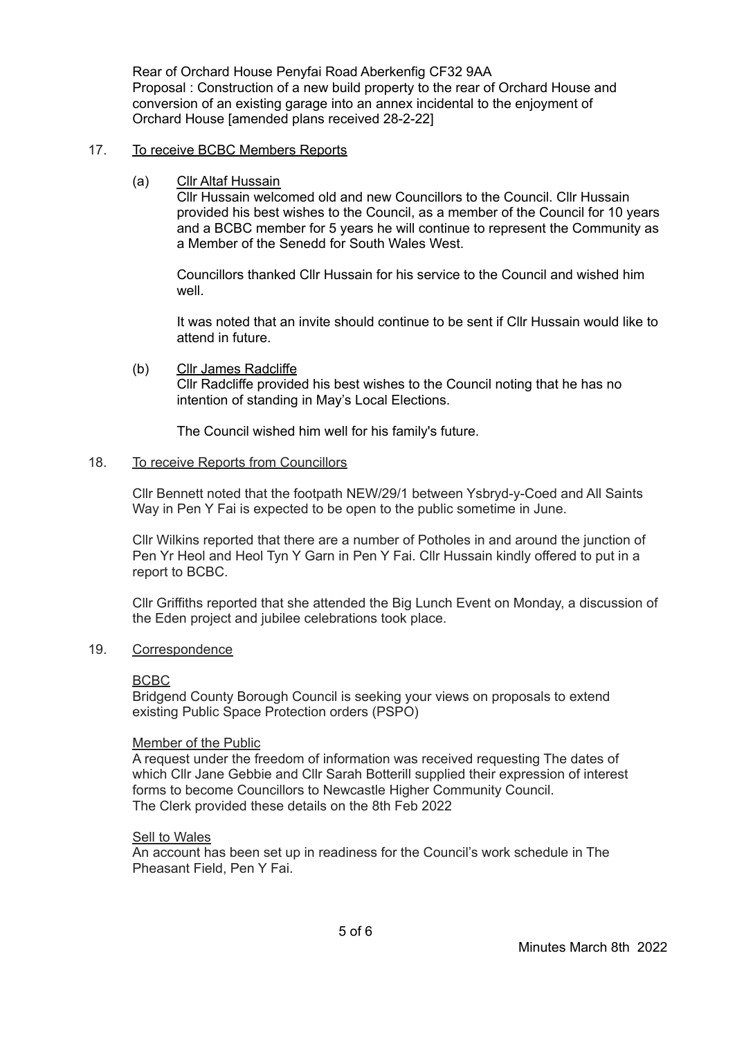Rear of Orchard House Penyfai Road Aberkenfig CF32 9AA Proposal : Construction of a new build property to the rear of Orchard House and conversion of an existing garage into an annex incidental to the enjoyment of Orchard House [amended plans received 28-2-22]

### 17. To receive BCBC Members Reports

(a) Cllr Altaf Hussain

Cllr Hussain welcomed old and new Councillors to the Council. Cllr Hussain provided his best wishes to the Council, as a member of the Council for 10 years and a BCBC member for 5 years he will continue to represent the Community as a Member of the Senedd for South Wales West.

Councillors thanked Cllr Hussain for his service to the Council and wished him well.

It was noted that an invite should continue to be sent if Cllr Hussain would like to attend in future.

(b) Cllr James Radcliffe

Cllr Radcliffe provided his best wishes to the Council noting that he has no intention of standing in May's Local Elections.

The Council wished him well for his family's future.

### 18. To receive Reports from Councillors

Cllr Bennett noted that the footpath NEW/29/1 between Ysbryd-y-Coed and All Saints Way in Pen Y Fai is expected to be open to the public sometime in June.

Cllr Wilkins reported that there are a number of Potholes in and around the junction of Pen Yr Heol and Heol Tyn Y Garn in Pen Y Fai. Cllr Hussain kindly offered to put in a report to BCBC.

Cllr Griffiths reported that she attended the Big Lunch Event on Monday, a discussion of the Eden project and jubilee celebrations took place.

### 19. Correspondence

### BCBC

Bridgend County Borough Council is seeking your views on proposals to extend existing Public Space Protection orders (PSPO)

### Member of the Public

A request under the freedom of information was received requesting The dates of which Cllr Jane Gebbie and Cllr Sarah Botterill supplied their expression of interest forms to become Councillors to Newcastle Higher Community Council. The Clerk provided these details on the 8th Feb 2022

### Sell to Wales

An account has been set up in readiness for the Council's work schedule in The Pheasant Field, Pen Y Fai.